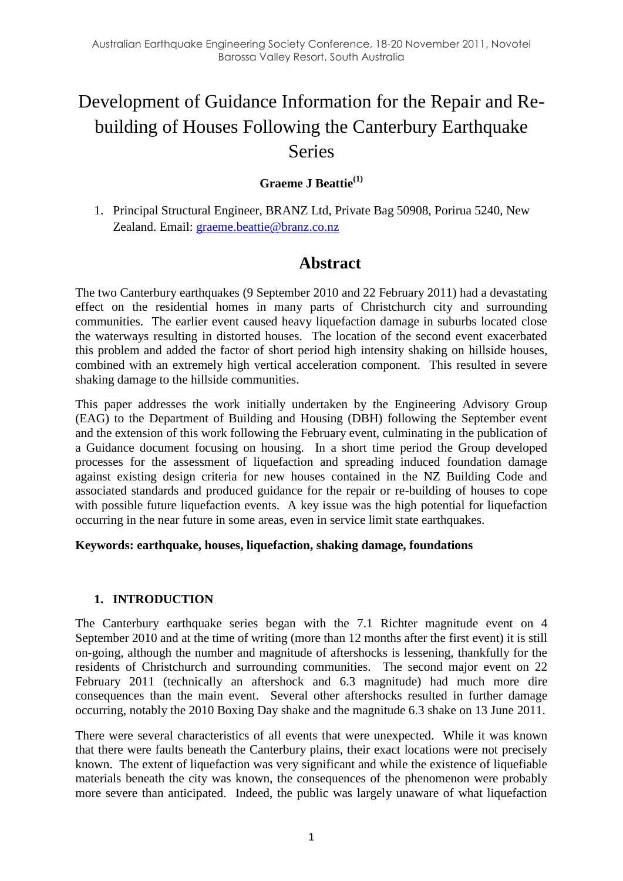# Development of Guidance Information for the Repair and Rebuilding of Houses Following the Canterbury Earthquake Series

## **Graeme J Beattie(1)**

1. Principal Structural Engineer, BRANZ Ltd, Private Bag 50908, Porirua 5240, New Zealand. Email: [graeme.beattie@branz.co.nz](mailto:graeme.beattie@branz.co.nz)

## **Abstract**

The two Canterbury earthquakes (9 September 2010 and 22 February 2011) had a devastating effect on the residential homes in many parts of Christchurch city and surrounding communities. The earlier event caused heavy liquefaction damage in suburbs located close the waterways resulting in distorted houses. The location of the second event exacerbated this problem and added the factor of short period high intensity shaking on hillside houses, combined with an extremely high vertical acceleration component. This resulted in severe shaking damage to the hillside communities.

This paper addresses the work initially undertaken by the Engineering Advisory Group (EAG) to the Department of Building and Housing (DBH) following the September event and the extension of this work following the February event, culminating in the publication of a Guidance document focusing on housing. In a short time period the Group developed processes for the assessment of liquefaction and spreading induced foundation damage against existing design criteria for new houses contained in the NZ Building Code and associated standards and produced guidance for the repair or re-building of houses to cope with possible future liquefaction events. A key issue was the high potential for liquefaction occurring in the near future in some areas, even in service limit state earthquakes.

#### **Keywords: earthquake, houses, liquefaction, shaking damage, foundations**

#### **1. INTRODUCTION**

The Canterbury earthquake series began with the 7.1 Richter magnitude event on 4 September 2010 and at the time of writing (more than 12 months after the first event) it is still on-going, although the number and magnitude of aftershocks is lessening, thankfully for the residents of Christchurch and surrounding communities. The second major event on 22 February 2011 (technically an aftershock and 6.3 magnitude) had much more dire consequences than the main event. Several other aftershocks resulted in further damage occurring, notably the 2010 Boxing Day shake and the magnitude 6.3 shake on 13 June 2011.

There were several characteristics of all events that were unexpected. While it was known that there were faults beneath the Canterbury plains, their exact locations were not precisely known. The extent of liquefaction was very significant and while the existence of liquefiable materials beneath the city was known, the consequences of the phenomenon were probably more severe than anticipated. Indeed, the public was largely unaware of what liquefaction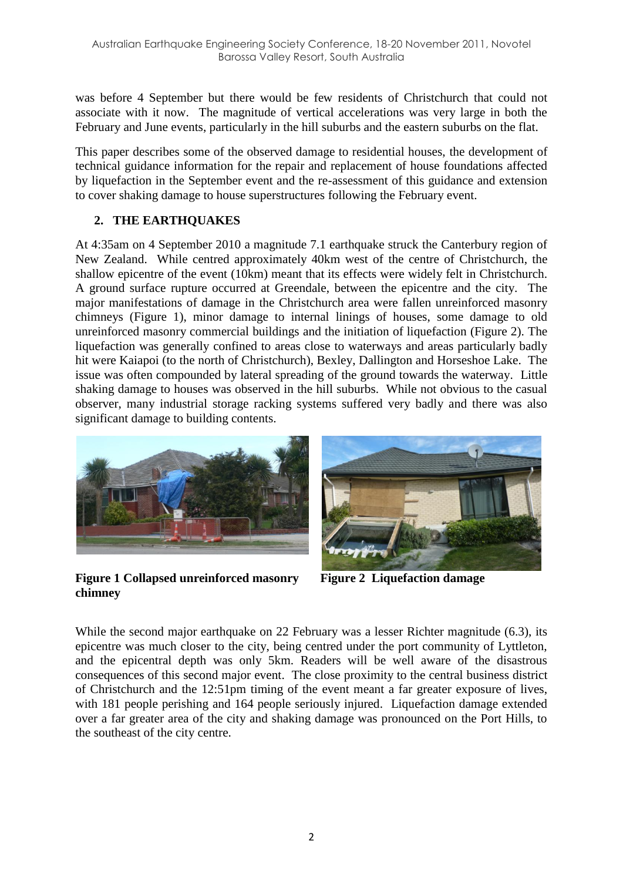was before 4 September but there would be few residents of Christchurch that could not associate with it now. The magnitude of vertical accelerations was very large in both the February and June events, particularly in the hill suburbs and the eastern suburbs on the flat.

This paper describes some of the observed damage to residential houses, the development of technical guidance information for the repair and replacement of house foundations affected by liquefaction in the September event and the re-assessment of this guidance and extension to cover shaking damage to house superstructures following the February event.

## **2. THE EARTHQUAKES**

At 4:35am on 4 September 2010 a magnitude 7.1 earthquake struck the Canterbury region of New Zealand. While centred approximately 40km west of the centre of Christchurch, the shallow epicentre of the event (10km) meant that its effects were widely felt in Christchurch. A ground surface rupture occurred at Greendale, between the epicentre and the city. The major manifestations of damage in the Christchurch area were fallen unreinforced masonry chimneys [\(Figure 1\)](#page-1-0), minor damage to internal linings of houses, some damage to old unreinforced masonry commercial buildings and the initiation of liquefaction [\(Figure 2\)](#page-1-1). The liquefaction was generally confined to areas close to waterways and areas particularly badly hit were Kaiapoi (to the north of Christchurch), Bexley, Dallington and Horseshoe Lake. The issue was often compounded by lateral spreading of the ground towards the waterway. Little shaking damage to houses was observed in the hill suburbs. While not obvious to the casual observer, many industrial storage racking systems suffered very badly and there was also significant damage to building contents.



**Figure 1 Collapsed unreinforced masonry chimney**

<span id="page-1-1"></span>

**Figure 2 Liquefaction damage**

<span id="page-1-0"></span>While the second major earthquake on 22 February was a lesser Richter magnitude (6.3), its epicentre was much closer to the city, being centred under the port community of Lyttleton, and the epicentral depth was only 5km. Readers will be well aware of the disastrous consequences of this second major event. The close proximity to the central business district of Christchurch and the 12:51pm timing of the event meant a far greater exposure of lives, with 181 people perishing and 164 people seriously injured. Liquefaction damage extended over a far greater area of the city and shaking damage was pronounced on the Port Hills, to the southeast of the city centre.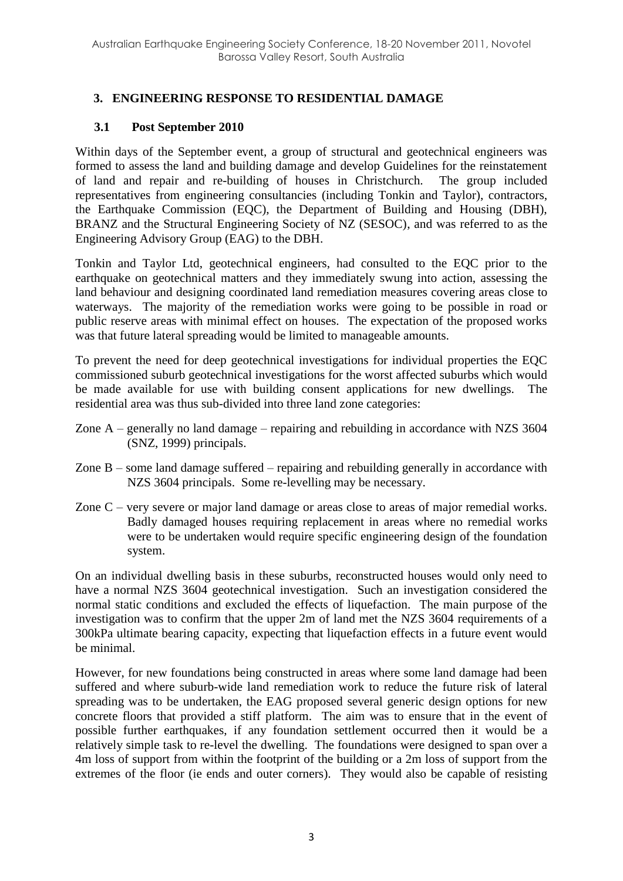## **3. ENGINEERING RESPONSE TO RESIDENTIAL DAMAGE**

### **3.1 Post September 2010**

Within days of the September event, a group of structural and geotechnical engineers was formed to assess the land and building damage and develop Guidelines for the reinstatement of land and repair and re-building of houses in Christchurch. The group included representatives from engineering consultancies (including Tonkin and Taylor), contractors, the Earthquake Commission (EQC), the Department of Building and Housing (DBH), BRANZ and the Structural Engineering Society of NZ (SESOC), and was referred to as the Engineering Advisory Group (EAG) to the DBH.

Tonkin and Taylor Ltd, geotechnical engineers, had consulted to the EQC prior to the earthquake on geotechnical matters and they immediately swung into action, assessing the land behaviour and designing coordinated land remediation measures covering areas close to waterways. The majority of the remediation works were going to be possible in road or public reserve areas with minimal effect on houses. The expectation of the proposed works was that future lateral spreading would be limited to manageable amounts.

To prevent the need for deep geotechnical investigations for individual properties the EQC commissioned suburb geotechnical investigations for the worst affected suburbs which would be made available for use with building consent applications for new dwellings. The residential area was thus sub-divided into three land zone categories:

- Zone A generally no land damage repairing and rebuilding in accordance with NZS 3604 (SNZ, 1999) principals.
- Zone B some land damage suffered repairing and rebuilding generally in accordance with NZS 3604 principals. Some re-levelling may be necessary.
- Zone C very severe or major land damage or areas close to areas of major remedial works. Badly damaged houses requiring replacement in areas where no remedial works were to be undertaken would require specific engineering design of the foundation system.

On an individual dwelling basis in these suburbs, reconstructed houses would only need to have a normal NZS 3604 geotechnical investigation. Such an investigation considered the normal static conditions and excluded the effects of liquefaction. The main purpose of the investigation was to confirm that the upper 2m of land met the NZS 3604 requirements of a 300kPa ultimate bearing capacity, expecting that liquefaction effects in a future event would be minimal.

However, for new foundations being constructed in areas where some land damage had been suffered and where suburb-wide land remediation work to reduce the future risk of lateral spreading was to be undertaken, the EAG proposed several generic design options for new concrete floors that provided a stiff platform. The aim was to ensure that in the event of possible further earthquakes, if any foundation settlement occurred then it would be a relatively simple task to re-level the dwelling. The foundations were designed to span over a 4m loss of support from within the footprint of the building or a 2m loss of support from the extremes of the floor (ie ends and outer corners). They would also be capable of resisting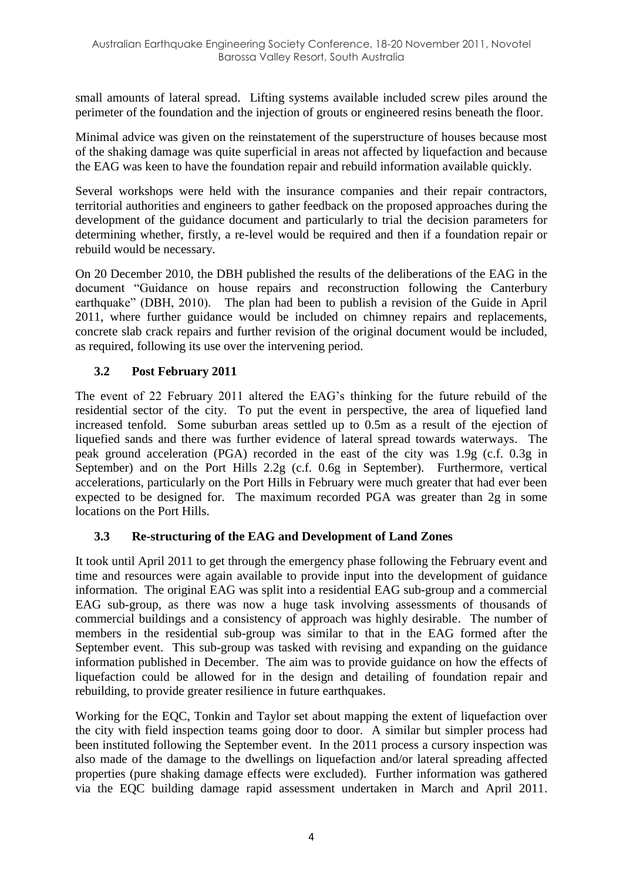small amounts of lateral spread. Lifting systems available included screw piles around the perimeter of the foundation and the injection of grouts or engineered resins beneath the floor.

Minimal advice was given on the reinstatement of the superstructure of houses because most of the shaking damage was quite superficial in areas not affected by liquefaction and because the EAG was keen to have the foundation repair and rebuild information available quickly.

Several workshops were held with the insurance companies and their repair contractors, territorial authorities and engineers to gather feedback on the proposed approaches during the development of the guidance document and particularly to trial the decision parameters for determining whether, firstly, a re-level would be required and then if a foundation repair or rebuild would be necessary.

On 20 December 2010, the DBH published the results of the deliberations of the EAG in the document "Guidance on house repairs and reconstruction following the Canterbury earthquake" (DBH, 2010). The plan had been to publish a revision of the Guide in April 2011, where further guidance would be included on chimney repairs and replacements, concrete slab crack repairs and further revision of the original document would be included, as required, following its use over the intervening period.

## **3.2 Post February 2011**

The event of 22 February 2011 altered the EAG's thinking for the future rebuild of the residential sector of the city. To put the event in perspective, the area of liquefied land increased tenfold. Some suburban areas settled up to 0.5m as a result of the ejection of liquefied sands and there was further evidence of lateral spread towards waterways. The peak ground acceleration (PGA) recorded in the east of the city was 1.9g (c.f. 0.3g in September) and on the Port Hills 2.2g (c.f. 0.6g in September). Furthermore, vertical accelerations, particularly on the Port Hills in February were much greater that had ever been expected to be designed for. The maximum recorded PGA was greater than 2g in some locations on the Port Hills.

## **3.3 Re-structuring of the EAG and Development of Land Zones**

It took until April 2011 to get through the emergency phase following the February event and time and resources were again available to provide input into the development of guidance information. The original EAG was split into a residential EAG sub-group and a commercial EAG sub-group, as there was now a huge task involving assessments of thousands of commercial buildings and a consistency of approach was highly desirable. The number of members in the residential sub-group was similar to that in the EAG formed after the September event. This sub-group was tasked with revising and expanding on the guidance information published in December. The aim was to provide guidance on how the effects of liquefaction could be allowed for in the design and detailing of foundation repair and rebuilding, to provide greater resilience in future earthquakes.

Working for the EQC, Tonkin and Taylor set about mapping the extent of liquefaction over the city with field inspection teams going door to door. A similar but simpler process had been instituted following the September event. In the 2011 process a cursory inspection was also made of the damage to the dwellings on liquefaction and/or lateral spreading affected properties (pure shaking damage effects were excluded). Further information was gathered via the EQC building damage rapid assessment undertaken in March and April 2011.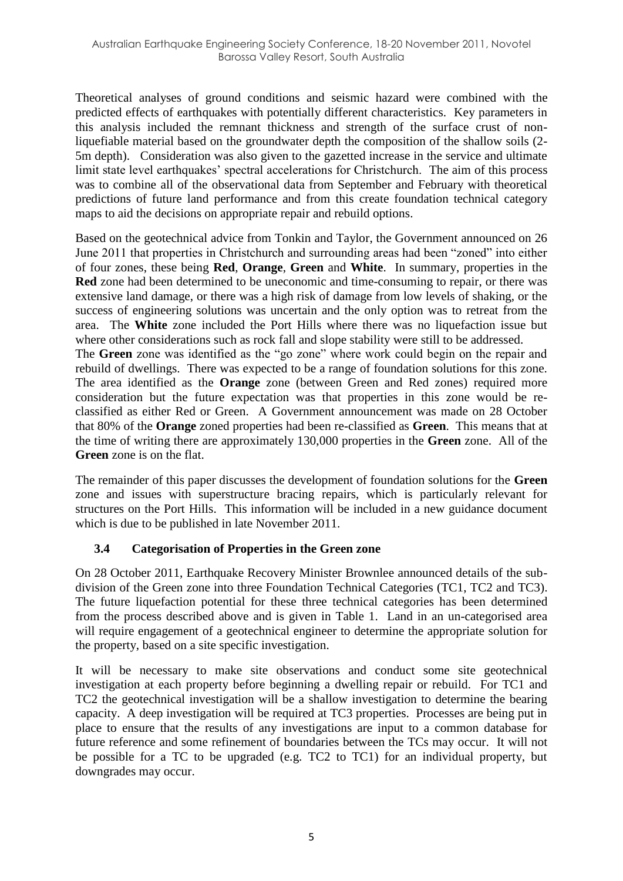Theoretical analyses of ground conditions and seismic hazard were combined with the predicted effects of earthquakes with potentially different characteristics. Key parameters in this analysis included the remnant thickness and strength of the surface crust of nonliquefiable material based on the groundwater depth the composition of the shallow soils (2- 5m depth). Consideration was also given to the gazetted increase in the service and ultimate limit state level earthquakes' spectral accelerations for Christchurch. The aim of this process was to combine all of the observational data from September and February with theoretical predictions of future land performance and from this create foundation technical category maps to aid the decisions on appropriate repair and rebuild options.

Based on the geotechnical advice from Tonkin and Taylor, the Government announced on 26 June 2011 that properties in Christchurch and surrounding areas had been "zoned" into either of four zones, these being **Red**, **Orange**, **Green** and **White**. In summary, properties in the **Red** zone had been determined to be uneconomic and time-consuming to repair, or there was extensive land damage, or there was a high risk of damage from low levels of shaking, or the success of engineering solutions was uncertain and the only option was to retreat from the area. The **White** zone included the Port Hills where there was no liquefaction issue but where other considerations such as rock fall and slope stability were still to be addressed.

The **Green** zone was identified as the "go zone" where work could begin on the repair and rebuild of dwellings. There was expected to be a range of foundation solutions for this zone. The area identified as the **Orange** zone (between Green and Red zones) required more consideration but the future expectation was that properties in this zone would be reclassified as either Red or Green. A Government announcement was made on 28 October that 80% of the **Orange** zoned properties had been re-classified as **Green**. This means that at the time of writing there are approximately 130,000 properties in the **Green** zone. All of the **Green** zone is on the flat.

The remainder of this paper discusses the development of foundation solutions for the **Green** zone and issues with superstructure bracing repairs, which is particularly relevant for structures on the Port Hills. This information will be included in a new guidance document which is due to be published in late November 2011.

#### **3.4 Categorisation of Properties in the Green zone**

On 28 October 2011, Earthquake Recovery Minister Brownlee announced details of the subdivision of the Green zone into three Foundation Technical Categories (TC1, TC2 and TC3). The future liquefaction potential for these three technical categories has been determined from the process described above and is given in [Table 1.](#page-5-0) Land in an un-categorised area will require engagement of a geotechnical engineer to determine the appropriate solution for the property, based on a site specific investigation.

It will be necessary to make site observations and conduct some site geotechnical investigation at each property before beginning a dwelling repair or rebuild. For TC1 and TC2 the geotechnical investigation will be a shallow investigation to determine the bearing capacity. A deep investigation will be required at TC3 properties. Processes are being put in place to ensure that the results of any investigations are input to a common database for future reference and some refinement of boundaries between the TCs may occur. It will not be possible for a TC to be upgraded (e.g. TC2 to TC1) for an individual property, but downgrades may occur.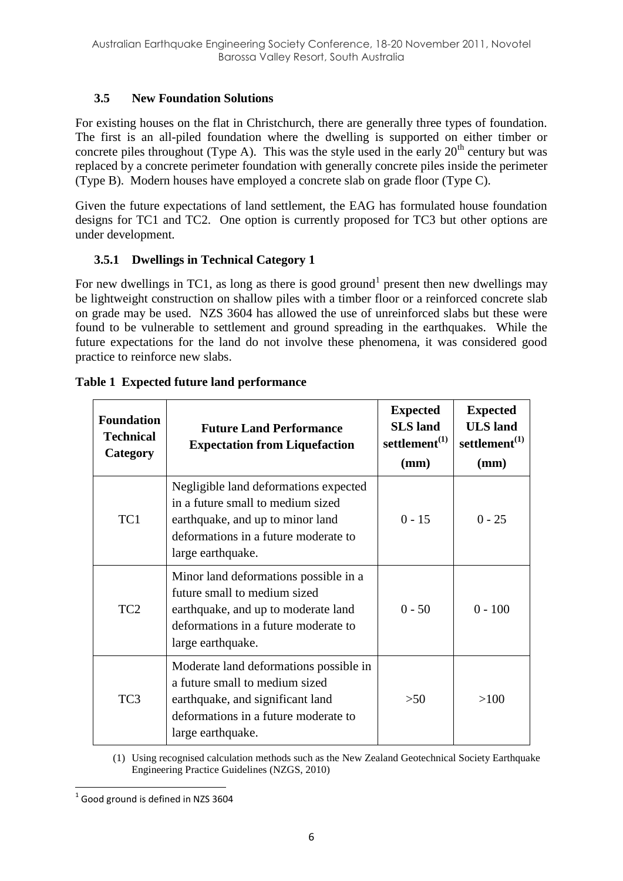## **3.5 New Foundation Solutions**

For existing houses on the flat in Christchurch, there are generally three types of foundation. The first is an all-piled foundation where the dwelling is supported on either timber or concrete piles throughout (Type A). This was the style used in the early  $20<sup>th</sup>$  century but was replaced by a concrete perimeter foundation with generally concrete piles inside the perimeter (Type B). Modern houses have employed a concrete slab on grade floor (Type C).

Given the future expectations of land settlement, the EAG has formulated house foundation designs for TC1 and TC2. One option is currently proposed for TC3 but other options are under development.

## **3.5.1 Dwellings in Technical Category 1**

For new dwellings in TC1, as long as there is good ground<sup>1</sup> present then new dwellings may be lightweight construction on shallow piles with a timber floor or a reinforced concrete slab on grade may be used. NZS 3604 has allowed the use of unreinforced slabs but these were found to be vulnerable to settlement and ground spreading in the earthquakes. While the future expectations for the land do not involve these phenomena, it was considered good practice to reinforce new slabs.

| <b>Foundation</b><br><b>Technical</b><br>Category | <b>Future Land Performance</b><br><b>Expectation from Liquefaction</b>                                                                                                      | <b>Expected</b><br><b>SLS</b> land<br>settlement $^{(1)}$<br>(mm) | <b>Expected</b><br><b>ULS</b> land<br>settlement $^{(1)}$<br>(mm) |
|---------------------------------------------------|-----------------------------------------------------------------------------------------------------------------------------------------------------------------------------|-------------------------------------------------------------------|-------------------------------------------------------------------|
| TC1                                               | Negligible land deformations expected<br>in a future small to medium sized<br>earthquake, and up to minor land<br>deformations in a future moderate to<br>large earthquake. | $0 - 15$                                                          | $0 - 25$                                                          |
| TC <sub>2</sub>                                   | Minor land deformations possible in a<br>future small to medium sized<br>earthquake, and up to moderate land<br>deformations in a future moderate to<br>large earthquake.   | $0 - 50$                                                          | $0 - 100$                                                         |
| TC <sub>3</sub>                                   | Moderate land deformations possible in<br>a future small to medium sized<br>earthquake, and significant land<br>deformations in a future moderate to<br>large earthquake.   | >50                                                               | >100                                                              |

## <span id="page-5-0"></span>**Table 1 Expected future land performance**

(1) Using recognised calculation methods such as the New Zealand Geotechnical Society Earthquake Engineering Practice Guidelines (NZGS, 2010)

**<sup>.</sup>**  $<sup>1</sup>$  Good ground is defined in NZS 3604</sup>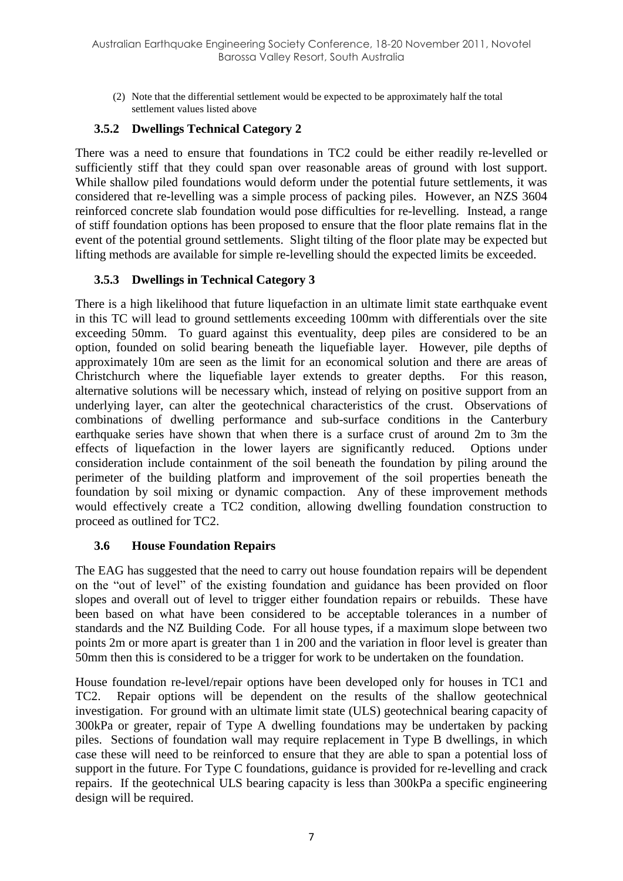(2) Note that the differential settlement would be expected to be approximately half the total settlement values listed above

### **3.5.2 Dwellings Technical Category 2**

There was a need to ensure that foundations in TC2 could be either readily re-levelled or sufficiently stiff that they could span over reasonable areas of ground with lost support. While shallow piled foundations would deform under the potential future settlements, it was considered that re-levelling was a simple process of packing piles. However, an NZS 3604 reinforced concrete slab foundation would pose difficulties for re-levelling. Instead, a range of stiff foundation options has been proposed to ensure that the floor plate remains flat in the event of the potential ground settlements. Slight tilting of the floor plate may be expected but lifting methods are available for simple re-levelling should the expected limits be exceeded.

#### **3.5.3 Dwellings in Technical Category 3**

There is a high likelihood that future liquefaction in an ultimate limit state earthquake event in this TC will lead to ground settlements exceeding 100mm with differentials over the site exceeding 50mm. To guard against this eventuality, deep piles are considered to be an option, founded on solid bearing beneath the liquefiable layer. However, pile depths of approximately 10m are seen as the limit for an economical solution and there are areas of Christchurch where the liquefiable layer extends to greater depths. For this reason, alternative solutions will be necessary which, instead of relying on positive support from an underlying layer, can alter the geotechnical characteristics of the crust. Observations of combinations of dwelling performance and sub-surface conditions in the Canterbury earthquake series have shown that when there is a surface crust of around 2m to 3m the effects of liquefaction in the lower layers are significantly reduced. Options under consideration include containment of the soil beneath the foundation by piling around the perimeter of the building platform and improvement of the soil properties beneath the foundation by soil mixing or dynamic compaction. Any of these improvement methods would effectively create a TC2 condition, allowing dwelling foundation construction to proceed as outlined for TC2.

#### **3.6 House Foundation Repairs**

The EAG has suggested that the need to carry out house foundation repairs will be dependent on the "out of level" of the existing foundation and guidance has been provided on floor slopes and overall out of level to trigger either foundation repairs or rebuilds. These have been based on what have been considered to be acceptable tolerances in a number of standards and the NZ Building Code. For all house types, if a maximum slope between two points 2m or more apart is greater than 1 in 200 and the variation in floor level is greater than 50mm then this is considered to be a trigger for work to be undertaken on the foundation.

House foundation re-level/repair options have been developed only for houses in TC1 and TC2. Repair options will be dependent on the results of the shallow geotechnical investigation. For ground with an ultimate limit state (ULS) geotechnical bearing capacity of 300kPa or greater, repair of Type A dwelling foundations may be undertaken by packing piles. Sections of foundation wall may require replacement in Type B dwellings, in which case these will need to be reinforced to ensure that they are able to span a potential loss of support in the future. For Type C foundations, guidance is provided for re-levelling and crack repairs. If the geotechnical ULS bearing capacity is less than 300kPa a specific engineering design will be required.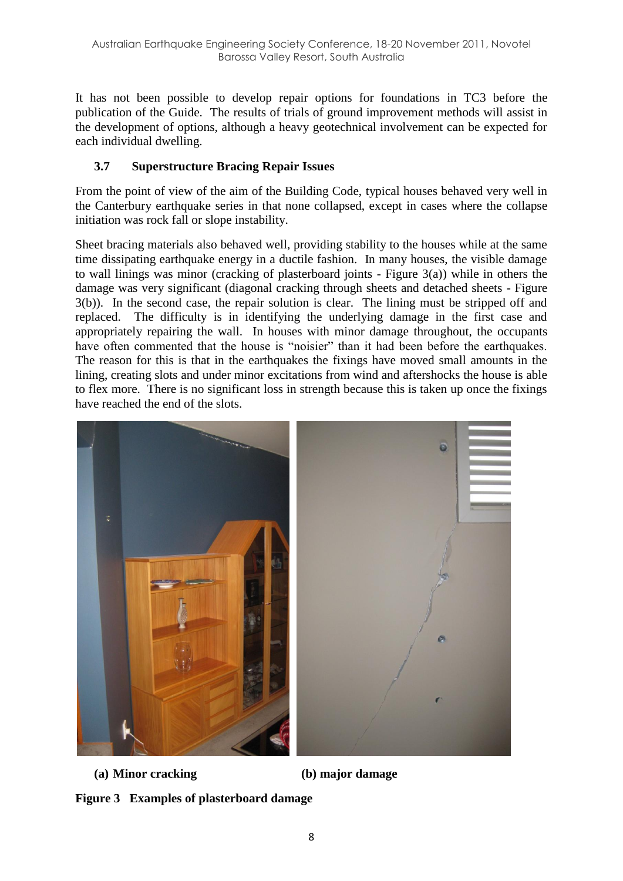It has not been possible to develop repair options for foundations in TC3 before the publication of the Guide. The results of trials of ground improvement methods will assist in the development of options, although a heavy geotechnical involvement can be expected for each individual dwelling.

## **3.7 Superstructure Bracing Repair Issues**

From the point of view of the aim of the Building Code, typical houses behaved very well in the Canterbury earthquake series in that none collapsed, except in cases where the collapse initiation was rock fall or slope instability.

Sheet bracing materials also behaved well, providing stability to the houses while at the same time dissipating earthquake energy in a ductile fashion. In many houses, the visible damage to wall linings was minor (cracking of plasterboard joints - [Figure 3\(](#page-7-0)a)) while in others the damage was very significant (diagonal cracking through sheets and detached sheets - [Figure](#page-7-0)  [3\(](#page-7-0)b)). In the second case, the repair solution is clear. The lining must be stripped off and replaced. The difficulty is in identifying the underlying damage in the first case and appropriately repairing the wall. In houses with minor damage throughout, the occupants have often commented that the house is "noisier" than it had been before the earthquakes. The reason for this is that in the earthquakes the fixings have moved small amounts in the lining, creating slots and under minor excitations from wind and aftershocks the house is able to flex more. There is no significant loss in strength because this is taken up once the fixings have reached the end of the slots.



<span id="page-7-0"></span>**(a) Minor cracking (b) major damage**